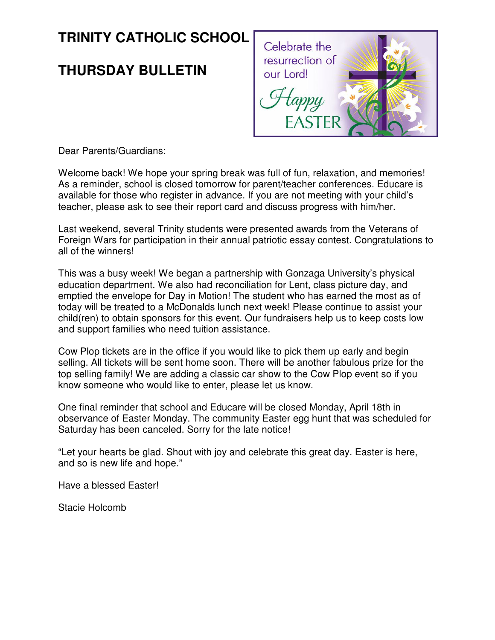# **TRINITY CATHOLIC SCHOOL**

## **THURSDAY BULLETIN**



Dear Parents/Guardians:

Welcome back! We hope your spring break was full of fun, relaxation, and memories! As a reminder, school is closed tomorrow for parent/teacher conferences. Educare is available for those who register in advance. If you are not meeting with your child's teacher, please ask to see their report card and discuss progress with him/her.

Last weekend, several Trinity students were presented awards from the Veterans of Foreign Wars for participation in their annual patriotic essay contest. Congratulations to all of the winners!

This was a busy week! We began a partnership with Gonzaga University's physical education department. We also had reconciliation for Lent, class picture day, and emptied the envelope for Day in Motion! The student who has earned the most as of today will be treated to a McDonalds lunch next week! Please continue to assist your child(ren) to obtain sponsors for this event. Our fundraisers help us to keep costs low and support families who need tuition assistance.

Cow Plop tickets are in the office if you would like to pick them up early and begin selling. All tickets will be sent home soon. There will be another fabulous prize for the top selling family! We are adding a classic car show to the Cow Plop event so if you know someone who would like to enter, please let us know.

One final reminder that school and Educare will be closed Monday, April 18th in observance of Easter Monday. The community Easter egg hunt that was scheduled for Saturday has been canceled. Sorry for the late notice!

"Let your hearts be glad. Shout with joy and celebrate this great day. Easter is here, and so is new life and hope."

Have a blessed Easter!

Stacie Holcomb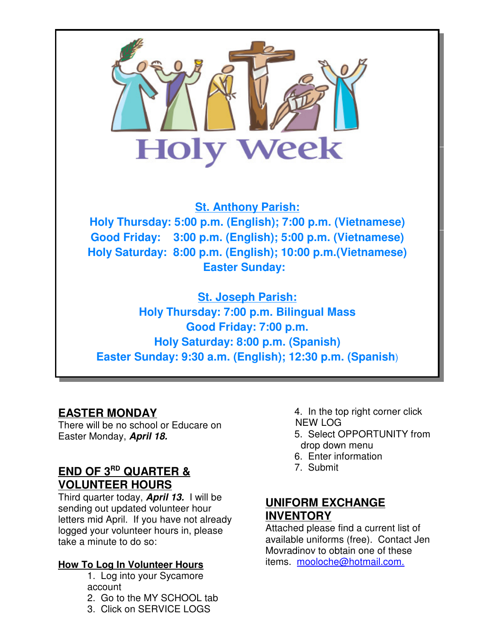

**Easter Sunday: 9:30 a.m. (English); 12:30 p.m. (Spanish**)

#### **EASTER MONDAY**

There will be no school or Educare on Easter Monday, **April 18.**

## **END OF 3RD QUARTER & VOLUNTEER HOURS**

Third quarter today, **April 13.** I will be sending out updated volunteer hour letters mid April. If you have not already logged your volunteer hours in, please take a minute to do so:

#### **How To Log In Volunteer Hours**

- 1. Log into your Sycamore account
- 2. Go to the MY SCHOOL tab
- 3. Click on SERVICE LOGS

4. In the top right corner click NEW LOG

- 5. Select OPPORTUNITY from drop down menu
- 6. Enter information
- 7. Submit

#### **UNIFORM EXCHANGE INVENTORY**

Attached please find a current list of available uniforms (free). Contact Jen Movradinov to obtain one of these items. mooloche@hotmail.com.